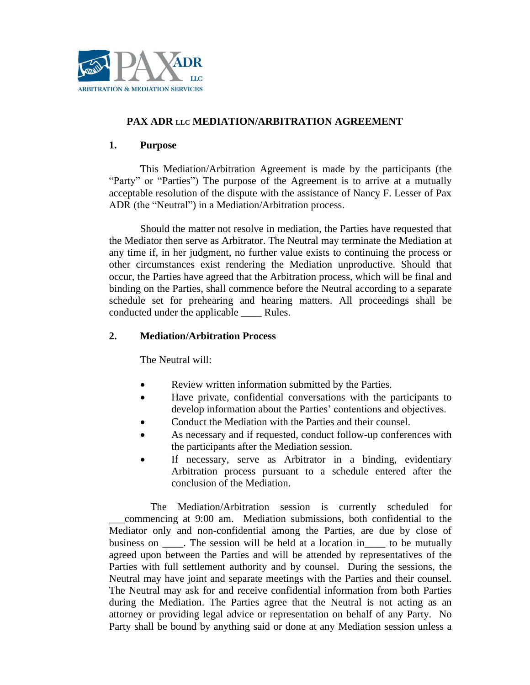

# **PAX ADR LLC MEDIATION/ARBITRATION AGREEMENT**

# **1. Purpose**

This Mediation/Arbitration Agreement is made by the participants (the "Party" or "Parties") The purpose of the Agreement is to arrive at a mutually acceptable resolution of the dispute with the assistance of Nancy F. Lesser of Pax ADR (the "Neutral") in a Mediation/Arbitration process.

Should the matter not resolve in mediation, the Parties have requested that the Mediator then serve as Arbitrator. The Neutral may terminate the Mediation at any time if, in her judgment, no further value exists to continuing the process or other circumstances exist rendering the Mediation unproductive. Should that occur, the Parties have agreed that the Arbitration process, which will be final and binding on the Parties, shall commence before the Neutral according to a separate schedule set for prehearing and hearing matters. All proceedings shall be conducted under the applicable \_\_\_\_ Rules.

# **2. Mediation/Arbitration Process**

The Neutral will:

- Review written information submitted by the Parties.
- Have private, confidential conversations with the participants to develop information about the Parties' contentions and objectives.
- Conduct the Mediation with the Parties and their counsel.
- As necessary and if requested, conduct follow-up conferences with the participants after the Mediation session.
- If necessary, serve as Arbitrator in a binding, evidentiary Arbitration process pursuant to a schedule entered after the conclusion of the Mediation.

 The Mediation/Arbitration session is currently scheduled for \_\_\_commencing at 9:00 am. Mediation submissions, both confidential to the Mediator only and non-confidential among the Parties, are due by close of business on \_\_\_\_. The session will be held at a location in\_\_\_\_ to be mutually agreed upon between the Parties and will be attended by representatives of the Parties with full settlement authority and by counsel. During the sessions, the Neutral may have joint and separate meetings with the Parties and their counsel. The Neutral may ask for and receive confidential information from both Parties during the Mediation. The Parties agree that the Neutral is not acting as an attorney or providing legal advice or representation on behalf of any Party. No Party shall be bound by anything said or done at any Mediation session unless a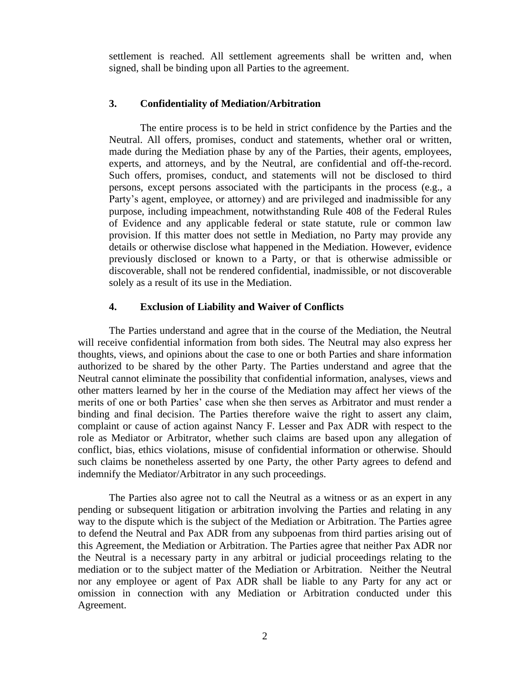settlement is reached. All settlement agreements shall be written and, when signed, shall be binding upon all Parties to the agreement.

#### **3. Confidentiality of Mediation/Arbitration**

The entire process is to be held in strict confidence by the Parties and the Neutral. All offers, promises, conduct and statements, whether oral or written, made during the Mediation phase by any of the Parties, their agents, employees, experts, and attorneys, and by the Neutral, are confidential and off-the-record. Such offers, promises, conduct, and statements will not be disclosed to third persons, except persons associated with the participants in the process (e.g., a Party's agent, employee, or attorney) and are privileged and inadmissible for any purpose, including impeachment, notwithstanding Rule 408 of the Federal Rules of Evidence and any applicable federal or state statute, rule or common law provision. If this matter does not settle in Mediation, no Party may provide any details or otherwise disclose what happened in the Mediation. However, evidence previously disclosed or known to a Party, or that is otherwise admissible or discoverable, shall not be rendered confidential, inadmissible, or not discoverable solely as a result of its use in the Mediation.

### **4. Exclusion of Liability and Waiver of Conflicts**

The Parties understand and agree that in the course of the Mediation, the Neutral will receive confidential information from both sides. The Neutral may also express her thoughts, views, and opinions about the case to one or both Parties and share information authorized to be shared by the other Party. The Parties understand and agree that the Neutral cannot eliminate the possibility that confidential information, analyses, views and other matters learned by her in the course of the Mediation may affect her views of the merits of one or both Parties' case when she then serves as Arbitrator and must render a binding and final decision. The Parties therefore waive the right to assert any claim, complaint or cause of action against Nancy F. Lesser and Pax ADR with respect to the role as Mediator or Arbitrator, whether such claims are based upon any allegation of conflict, bias, ethics violations, misuse of confidential information or otherwise. Should such claims be nonetheless asserted by one Party, the other Party agrees to defend and indemnify the Mediator/Arbitrator in any such proceedings.

The Parties also agree not to call the Neutral as a witness or as an expert in any pending or subsequent litigation or arbitration involving the Parties and relating in any way to the dispute which is the subject of the Mediation or Arbitration. The Parties agree to defend the Neutral and Pax ADR from any subpoenas from third parties arising out of this Agreement, the Mediation or Arbitration. The Parties agree that neither Pax ADR nor the Neutral is a necessary party in any arbitral or judicial proceedings relating to the mediation or to the subject matter of the Mediation or Arbitration. Neither the Neutral nor any employee or agent of Pax ADR shall be liable to any Party for any act or omission in connection with any Mediation or Arbitration conducted under this Agreement.